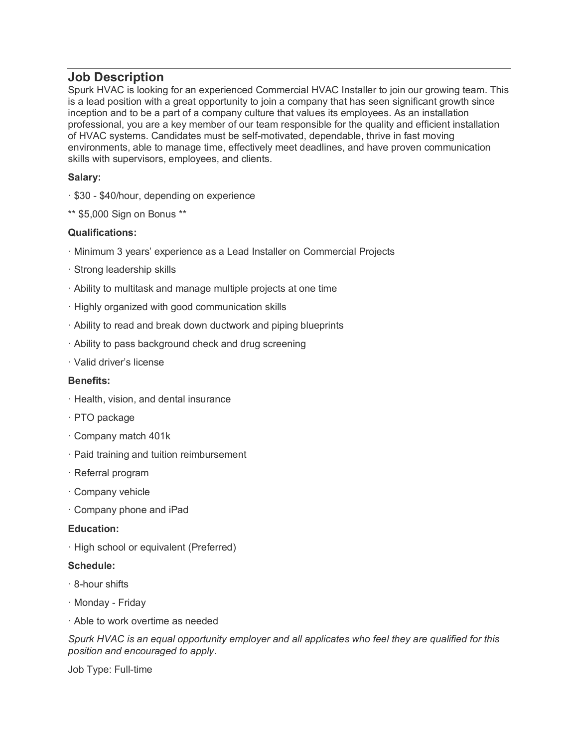# **Job Description**

Spurk HVAC is looking for an experienced Commercial HVAC Installer to join our growing team. This is a lead position with a great opportunity to join a company that has seen significant growth since inception and to be a part of a company culture that values its employees. As an installation professional, you are a key member of our team responsible for the quality and efficient installation of HVAC systems. Candidates must be self-motivated, dependable, thrive in fast moving environments, able to manage time, effectively meet deadlines, and have proven communication skills with supervisors, employees, and clients.

## **Salary:**

- · \$30 \$40/hour, depending on experience
- \*\* \$5,000 Sign on Bonus \*\*

### **Qualifications:**

- · Minimum 3 years' experience as a Lead Installer on Commercial Projects
- · Strong leadership skills
- · Ability to multitask and manage multiple projects at one time
- · Highly organized with good communication skills
- · Ability to read and break down ductwork and piping blueprints
- · Ability to pass background check and drug screening
- · Valid driver's license

#### **Benefits:**

- · Health, vision, and dental insurance
- · PTO package
- · Company match 401k
- · Paid training and tuition reimbursement
- · Referral program
- · Company vehicle
- · Company phone and iPad

#### **Education:**

· High school or equivalent (Preferred)

#### **Schedule:**

- · 8-hour shifts
- · Monday Friday
- · Able to work overtime as needed

*Spurk HVAC is an equal opportunity employer and all applicates who feel they are qualified for this position and encouraged to apply*.

Job Type: Full-time